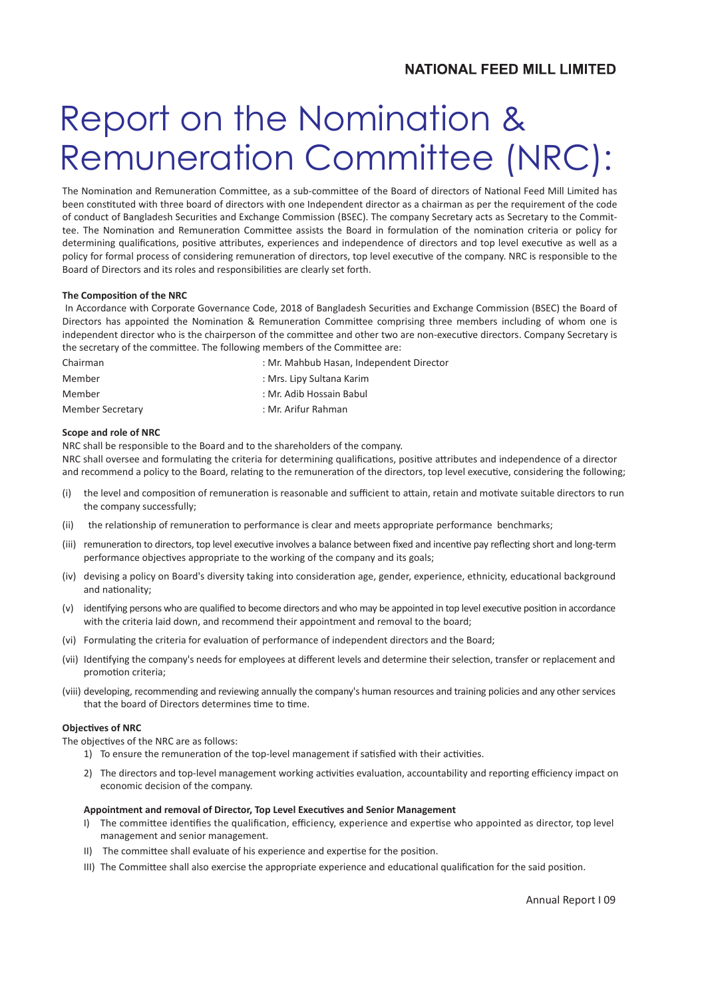### **NATIONAL FEED MILL LIMITED**

# Report on the Nomination & Remuneration Committee (NRC):

The Nomination and Remuneration Committee, as a sub-committee of the Board of directors of National Feed Mill Limited has been constituted with three board of directors with one Independent director as a chairman as per the requirement of the code of conduct of Bangladesh Securi�es and Exchange Commission (BSEC). The company Secretary acts as Secretary to the Committee. The Nomination and Remuneration Committee assists the Board in formulation of the nomination criteria or policy for determining qualifications, positive attributes, experiences and independence of directors and top level executive as well as a policy for formal process of considering remuneration of directors, top level executive of the company. NRC is responsible to the Board of Directors and its roles and responsibilities are clearly set forth.

#### **The Composition of the NRC**

In Accordance with Corporate Governance Code, 2018 of Bangladesh Securities and Exchange Commission (BSEC) the Board of Directors has appointed the Nomination & Remuneration Committee comprising three members including of whom one is independent director who is the chairperson of the committee and other two are non-executive directors. Company Secretary is the secretary of the committee. The following members of the Committee are:

| Chairman         | : Mr. Mahbub Hasan, Independent Director |  |
|------------------|------------------------------------------|--|
| Member           | : Mrs. Lipy Sultana Karim                |  |
| Member           | : Mr. Adib Hossain Babul                 |  |
| Member Secretary | : Mr. Arifur Rahman                      |  |

#### **Scope and role of NRC**

NRC shall be responsible to the Board and to the shareholders of the company. NRC shall oversee and formulating the criteria for determining qualifications, positive attributes and independence of a director and recommend a policy to the Board, relating to the remuneration of the directors, top level executive, considering the following;

- (i) the level and composition of remuneration is reasonable and sufficient to attain, retain and motivate suitable directors to run the company successfully;
- (ii) the relationship of remuneration to performance is clear and meets appropriate performance benchmarks;
- (iii) remuneration to directors, top level executive involves a balance between fixed and incentive pay reflecting short and long-term performance objectives appropriate to the working of the company and its goals;
- (iv) devising a policy on Board's diversity taking into consideration age, gender, experience, ethnicity, educational background and nationality;
- (v) identifying persons who are qualified to become directors and who may be appointed in top level executive position in accordance with the criteria laid down, and recommend their appointment and removal to the board;
- (vi) Formulating the criteria for evaluation of performance of independent directors and the Board;
- (vii) Identifying the company's needs for employees at different levels and determine their selection, transfer or replacement and promotion criteria;
- (viii) developing, recommending and reviewing annually the company's human resources and training policies and any other services that the board of Directors determines time to time.

#### **Objectives of NRC**

The objectives of the NRC are as follows:

- 1) To ensure the remuneration of the top-level management if satisfied with their activities.
- 2) The directors and top-level management working activities evaluation, accountability and reporting efficiency impact on economic decision of the company.

#### Appointment and removal of Director, Top Level Executives and Senior Management

- I) The committee identifies the qualification, efficiency, experience and expertise who appointed as director, top level management and senior management.
- II) The committee shall evaluate of his experience and expertise for the position.
- III) The Committee shall also exercise the appropriate experience and educational qualification for the said position.